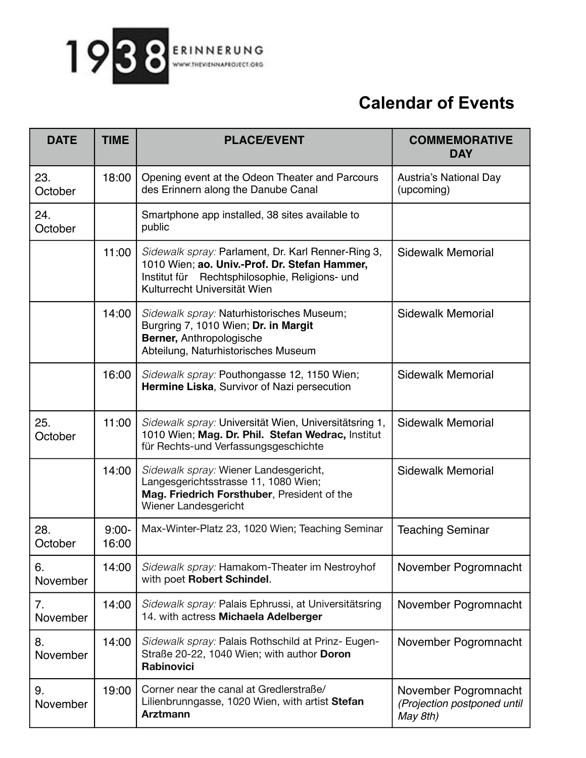

## **Calendar of Events**

| <b>DATE</b>    | <b>TIME</b>      | <b>PLACE/EVENT</b>                                                                                                                                                                    | <b>COMMEMORATIVE</b><br><b>DAY</b>                              |
|----------------|------------------|---------------------------------------------------------------------------------------------------------------------------------------------------------------------------------------|-----------------------------------------------------------------|
| 23.<br>October | 18:00            | Opening event at the Odeon Theater and Parcours<br>des Erinnern along the Danube Canal                                                                                                | Austria's National Day<br>(upcoming)                            |
| 24.<br>October |                  | Smartphone app installed, 38 sites available to<br>public                                                                                                                             |                                                                 |
|                | 11:00            | Sidewalk spray: Parlament, Dr. Karl Renner-Ring 3,<br>1010 Wien; ao. Univ.-Prof. Dr. Stefan Hammer,<br>Institut für Rechtsphilosophie, Religions- und<br>Kulturrecht Universität Wien | <b>Sidewalk Memorial</b>                                        |
|                | 14:00            | Sidewalk spray: Naturhistorisches Museum;<br>Burgring 7, 1010 Wien; Dr. in Margit<br>Berner, Anthropologische<br>Abteilung, Naturhistorisches Museum                                  | <b>Sidewalk Memorial</b>                                        |
|                | 16:00            | Sidewalk spray: Pouthongasse 12, 1150 Wien;<br>Hermine Liska, Survivor of Nazi persecution                                                                                            | <b>Sidewalk Memorial</b>                                        |
| 25.<br>October | 11:00            | Sidewalk spray: Universität Wien, Universitätsring 1,<br>1010 Wien; Mag. Dr. Phil. Stefan Wedrac, Institut<br>für Rechts-und Verfassungsgeschichte                                    | Sidewalk Memorial                                               |
|                | 14:00            | Sidewalk spray: Wiener Landesgericht,<br>Langesgerichtsstrasse 11, 1080 Wien;<br>Mag. Friedrich Forsthuber, President of the<br>Wiener Landesgericht                                  | <b>Sidewalk Memorial</b>                                        |
| 28.<br>October | $9:00-$<br>16:00 | Max-Winter-Platz 23, 1020 Wien; Teaching Seminar                                                                                                                                      | <b>Teaching Seminar</b>                                         |
| 6.<br>November | 14:00            | Sidewalk spray: Hamakom-Theater im Nestroyhof<br>with poet Robert Schindel.                                                                                                           | November Pogromnacht                                            |
| 7.<br>November | 14:00            | Sidewalk spray: Palais Ephrussi, at Universitätsring<br>14. with actress Michaela Adelberger                                                                                          | November Pogromnacht                                            |
| 8.<br>November | 14:00            | Sidewalk spray: Palais Rothschild at Prinz- Eugen-<br>Straße 20-22, 1040 Wien; with author Doron<br>Rabinovici                                                                        | November Pogromnacht                                            |
| 9.<br>November | 19:00            | Corner near the canal at Gredlerstraße/<br>Lilienbrunngasse, 1020 Wien, with artist Stefan<br><b>Arztmann</b>                                                                         | November Pogromnacht<br>(Projection postponed until<br>May 8th) |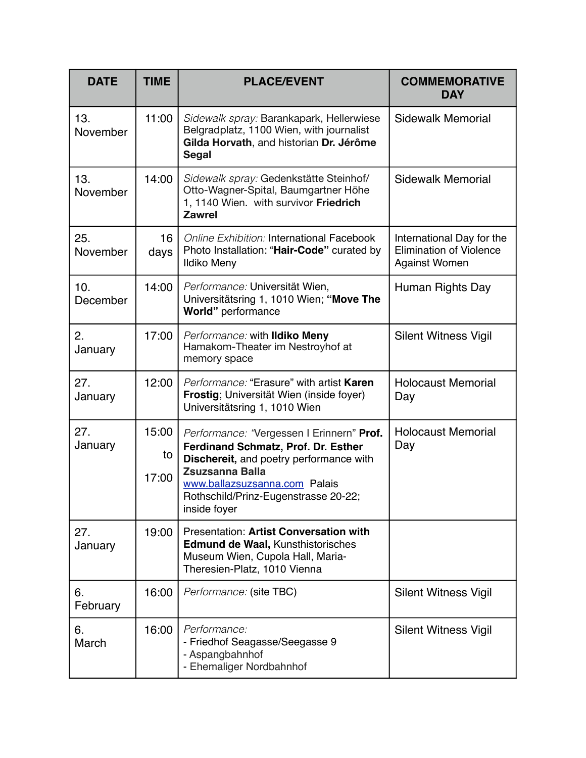| <b>DATE</b>     | <b>TIME</b>          | <b>PLACE/EVENT</b>                                                                                                                                                                                                                             | <b>COMMEMORATIVE</b><br><b>DAY</b>                                                  |
|-----------------|----------------------|------------------------------------------------------------------------------------------------------------------------------------------------------------------------------------------------------------------------------------------------|-------------------------------------------------------------------------------------|
| 13.<br>November | 11:00                | Sidewalk spray: Barankapark, Hellerwiese<br>Belgradplatz, 1100 Wien, with journalist<br>Gilda Horvath, and historian Dr. Jérôme<br><b>Segal</b>                                                                                                | <b>Sidewalk Memorial</b>                                                            |
| 13.<br>November | 14:00                | Sidewalk spray: Gedenkstätte Steinhof/<br>Otto-Wagner-Spital, Baumgartner Höhe<br>1, 1140 Wien. with survivor Friedrich<br><b>Zawrel</b>                                                                                                       | <b>Sidewalk Memorial</b>                                                            |
| 25.<br>November | 16<br>days           | <b>Online Exhibition: International Facebook</b><br>Photo Installation: "Hair-Code" curated by<br><b>Ildiko Meny</b>                                                                                                                           | International Day for the<br><b>Elimination of Violence</b><br><b>Against Women</b> |
| 10.<br>December | 14:00                | Performance: Universität Wien,<br>Universitätsring 1, 1010 Wien; "Move The<br>World" performance                                                                                                                                               | Human Rights Day                                                                    |
| 2.<br>January   | 17:00                | Performance: with Ildiko Meny<br>Hamakom-Theater im Nestroyhof at<br>memory space                                                                                                                                                              | <b>Silent Witness Vigil</b>                                                         |
| 27.<br>January  | 12:00                | Performance: "Erasure" with artist Karen<br>Frostig; Universität Wien (inside foyer)<br>Universitätsring 1, 1010 Wien                                                                                                                          | <b>Holocaust Memorial</b><br>Day                                                    |
| 27.<br>January  | 15:00<br>to<br>17:00 | Performance: "Vergessen I Erinnern" Prof.<br>Ferdinand Schmatz, Prof. Dr. Esther<br>Dischereit, and poetry performance with<br><b>Zsuzsanna Balla</b><br>www.ballazsuzsanna.com Palais<br>Rothschild/Prinz-Eugenstrasse 20-22;<br>inside foyer | <b>Holocaust Memorial</b><br>Day                                                    |
| 27.<br>January  | 19:00                | <b>Presentation: Artist Conversation with</b><br><b>Edmund de Waal, Kunsthistorisches</b><br>Museum Wien, Cupola Hall, Maria-<br>Theresien-Platz, 1010 Vienna                                                                                  |                                                                                     |
| 6.<br>February  | 16:00                | Performance: (site TBC)                                                                                                                                                                                                                        | <b>Silent Witness Vigil</b>                                                         |
| 6.<br>March     | 16:00                | Performance:<br>- Friedhof Seagasse/Seegasse 9<br>- Aspangbahnhof<br>- Ehemaliger Nordbahnhof                                                                                                                                                  | <b>Silent Witness Vigil</b>                                                         |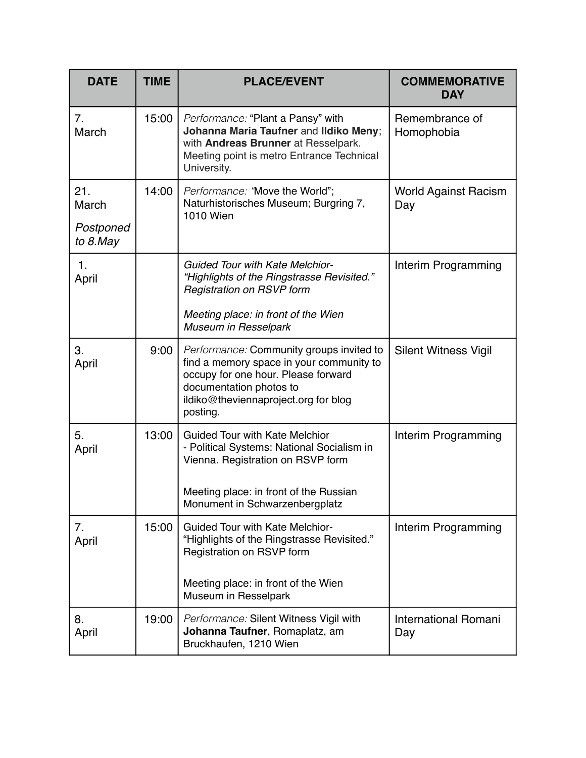| <b>DATE</b>                           | <b>TIME</b> | <b>PLACE/EVENT</b>                                                                                                                                                                                         | <b>COMMEMORATIVE</b><br><b>DAY</b> |
|---------------------------------------|-------------|------------------------------------------------------------------------------------------------------------------------------------------------------------------------------------------------------------|------------------------------------|
| 7 <sub>1</sub><br>March               | 15:00       | Performance: "Plant a Pansy" with<br>Johanna Maria Taufner and Ildiko Meny;<br>with Andreas Brunner at Resselpark.<br>Meeting point is metro Entrance Technical<br>University.                             | Remembrance of<br>Homophobia       |
| 21.<br>March<br>Postponed<br>to 8.May | 14:00       | Performance: 'Move the World";<br>Naturhistorisches Museum; Burgring 7,<br><b>1010 Wien</b>                                                                                                                | <b>World Against Racism</b><br>Day |
| 1.<br>April                           |             | <b>Guided Tour with Kate Melchior-</b><br>"Highlights of the Ringstrasse Revisited."<br>Registration on RSVP form<br>Meeting place: in front of the Wien<br>Museum in Resselpark                           | Interim Programming                |
| 3.<br>April                           | 9:00        | Performance: Community groups invited to<br>find a memory space in your community to<br>occupy for one hour. Please forward<br>documentation photos to<br>ildiko@theviennaproject.org for blog<br>posting. | <b>Silent Witness Vigil</b>        |
| 5.<br>April                           | 13:00       | <b>Guided Tour with Kate Melchior</b><br>- Political Systems: National Socialism in<br>Vienna. Registration on RSVP form<br>Meeting place: in front of the Russian<br>Monument in Schwarzenbergplatz       | Interim Programming                |
| 7.<br>April                           | 15:00       | <b>Guided Tour with Kate Melchior-</b><br>"Highlights of the Ringstrasse Revisited."<br>Registration on RSVP form<br>Meeting place: in front of the Wien<br>Museum in Resselpark                           | Interim Programming                |
| 8.<br>April                           | 19:00       | Performance: Silent Witness Vigil with<br>Johanna Taufner, Romaplatz, am<br>Bruckhaufen, 1210 Wien                                                                                                         | <b>International Romani</b><br>Day |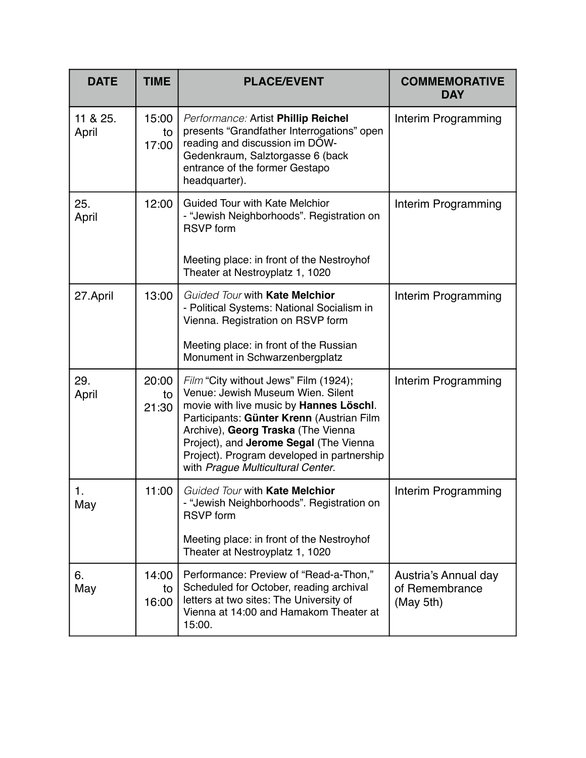| <b>DATE</b>       | <b>TIME</b>          | <b>PLACE/EVENT</b>                                                                                                                                                                                                                                                                                                                    | <b>COMMEMORATIVE</b><br><b>DAY</b>                  |
|-------------------|----------------------|---------------------------------------------------------------------------------------------------------------------------------------------------------------------------------------------------------------------------------------------------------------------------------------------------------------------------------------|-----------------------------------------------------|
| 11 & 25.<br>April | 15:00<br>to<br>17:00 | Performance: Artist Phillip Reichel<br>presents "Grandfather Interrogations" open<br>reading and discussion im DÖW-<br>Gedenkraum, Salztorgasse 6 (back<br>entrance of the former Gestapo<br>headquarter).                                                                                                                            | Interim Programming                                 |
| 25.<br>April      | 12:00                | <b>Guided Tour with Kate Melchior</b><br>- "Jewish Neighborhoods". Registration on<br><b>RSVP</b> form<br>Meeting place: in front of the Nestroyhof<br>Theater at Nestroyplatz 1, 1020                                                                                                                                                | Interim Programming                                 |
| 27.April          | 13:00                | Guided Tour with Kate Melchior<br>- Political Systems: National Socialism in<br>Vienna. Registration on RSVP form<br>Meeting place: in front of the Russian<br>Monument in Schwarzenbergplatz                                                                                                                                         | Interim Programming                                 |
| 29.<br>April      | 20:00<br>to<br>21:30 | Film "City without Jews" Film (1924);<br>Venue: Jewish Museum Wien. Silent<br>movie with live music by Hannes Löschl.<br>Participants: Günter Krenn (Austrian Film<br>Archive), Georg Traska (The Vienna<br>Project), and Jerome Segal (The Vienna<br>Project). Program developed in partnership<br>with Prague Multicultural Center. | Interim Programming                                 |
| 1.<br>May         | 11:00                | Guided Tour with Kate Melchior<br>- "Jewish Neighborhoods". Registration on<br><b>RSVP</b> form<br>Meeting place: in front of the Nestroyhof                                                                                                                                                                                          | Interim Programming                                 |
|                   |                      | Theater at Nestroyplatz 1, 1020                                                                                                                                                                                                                                                                                                       |                                                     |
| 6.<br>May         | 14:00<br>to<br>16:00 | Performance: Preview of "Read-a-Thon,"<br>Scheduled for October, reading archival<br>letters at two sites: The University of<br>Vienna at 14:00 and Hamakom Theater at<br>15:00.                                                                                                                                                      | Austria's Annual day<br>of Remembrance<br>(May 5th) |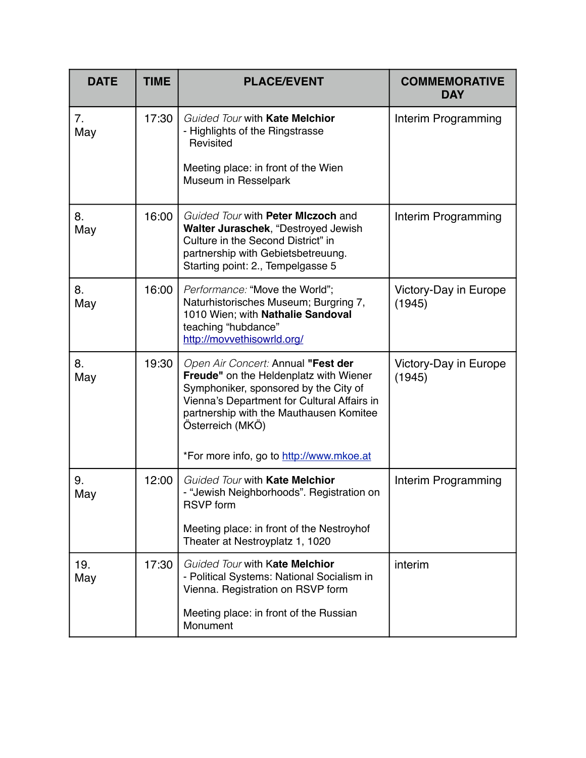| <b>DATE</b> | <b>TIME</b> | <b>PLACE/EVENT</b>                                                                                                                                                                                                                  | <b>COMMEMORATIVE</b><br><b>DAY</b> |
|-------------|-------------|-------------------------------------------------------------------------------------------------------------------------------------------------------------------------------------------------------------------------------------|------------------------------------|
| 7.<br>May   | 17:30       | Guided Tour with Kate Melchior<br>- Highlights of the Ringstrasse<br>Revisited<br>Meeting place: in front of the Wien<br>Museum in Resselpark                                                                                       | Interim Programming                |
| 8.<br>May   | 16:00       | Guided Tour with Peter Miczoch and<br>Walter Juraschek, "Destroyed Jewish<br>Culture in the Second District" in<br>partnership with Gebietsbetreuung.<br>Starting point: 2., Tempelgasse 5                                          | Interim Programming                |
| 8.<br>May   | 16:00       | Performance: "Move the World";<br>Naturhistorisches Museum; Burgring 7,<br>1010 Wien; with Nathalie Sandoval<br>teaching "hubdance"<br>http://movvethisowrld.org/                                                                   | Victory-Day in Europe<br>(1945)    |
| 8.<br>May   | 19:30       | Open Air Concert: Annual "Fest der<br>Freude" on the Heldenplatz with Wiener<br>Symphoniker, sponsored by the City of<br>Vienna's Department for Cultural Affairs in<br>partnership with the Mauthausen Komitee<br>Österreich (MKÖ) | Victory-Day in Europe<br>(1945)    |
|             |             | *For more info, go to http://www.mkoe.at                                                                                                                                                                                            |                                    |
| 9.<br>May   | 12:00       | Guided Tour with Kate Melchior<br>- "Jewish Neighborhoods". Registration on<br><b>RSVP</b> form<br>Meeting place: in front of the Nestroyhof                                                                                        | Interim Programming                |
|             |             | Theater at Nestroyplatz 1, 1020                                                                                                                                                                                                     |                                    |
| 19.<br>May  | 17:30       | Guided Tour with Kate Melchior<br>- Political Systems: National Socialism in<br>Vienna. Registration on RSVP form                                                                                                                   | interim                            |
|             |             | Meeting place: in front of the Russian<br>Monument                                                                                                                                                                                  |                                    |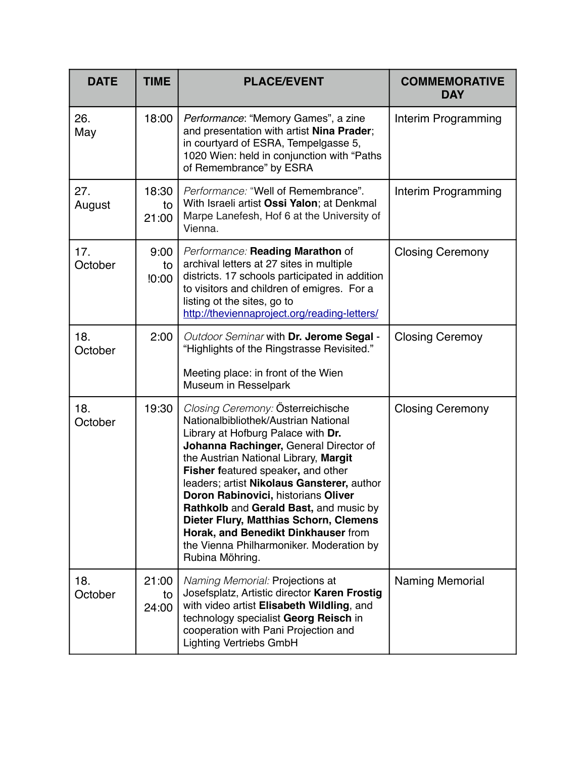| <b>DATE</b>    | <b>TIME</b>          | <b>PLACE/EVENT</b>                                                                                                                                                                                                                                                                                                                                                                                                                                                                                                      | <b>COMMEMORATIVE</b><br><b>DAY</b> |
|----------------|----------------------|-------------------------------------------------------------------------------------------------------------------------------------------------------------------------------------------------------------------------------------------------------------------------------------------------------------------------------------------------------------------------------------------------------------------------------------------------------------------------------------------------------------------------|------------------------------------|
| 26.<br>May     | 18:00                | Performance: "Memory Games", a zine<br>and presentation with artist Nina Prader;<br>in courtyard of ESRA, Tempelgasse 5,<br>1020 Wien: held in conjunction with "Paths<br>of Remembrance" by ESRA                                                                                                                                                                                                                                                                                                                       | Interim Programming                |
| 27.<br>August  | 18:30<br>to<br>21:00 | Performance: "Well of Remembrance".<br>With Israeli artist Ossi Yalon; at Denkmal<br>Marpe Lanefesh, Hof 6 at the University of<br>Vienna.                                                                                                                                                                                                                                                                                                                                                                              | Interim Programming                |
| 17.<br>October | 9:00<br>to<br>10:00  | Performance: Reading Marathon of<br>archival letters at 27 sites in multiple<br>districts. 17 schools participated in addition<br>to visitors and children of emigres. For a<br>listing ot the sites, go to<br>http://theviennaproject.org/reading-letters/                                                                                                                                                                                                                                                             | <b>Closing Ceremony</b>            |
| 18.<br>October | 2:00                 | Outdoor Seminar with Dr. Jerome Segal -<br>"Highlights of the Ringstrasse Revisited."                                                                                                                                                                                                                                                                                                                                                                                                                                   | <b>Closing Ceremoy</b>             |
|                |                      | Meeting place: in front of the Wien<br>Museum in Resselpark                                                                                                                                                                                                                                                                                                                                                                                                                                                             |                                    |
| 18.<br>October | 19:30                | Closing Ceremony: Österreichische<br>Nationalbibliothek/Austrian National<br>Library at Hofburg Palace with Dr.<br>Johanna Rachinger, General Director of<br>the Austrian National Library, Margit<br>Fisher featured speaker, and other<br>leaders; artist Nikolaus Gansterer, author<br>Doron Rabinovici, historians Oliver<br>Rathkolb and Gerald Bast, and music by<br>Dieter Flury, Matthias Schorn, Clemens<br>Horak, and Benedikt Dinkhauser from<br>the Vienna Philharmoniker. Moderation by<br>Rubina Möhring. | <b>Closing Ceremony</b>            |
| 18.<br>October | 21:00<br>to<br>24:00 | Naming Memorial: Projections at<br>Josefsplatz, Artistic director Karen Frostig<br>with video artist Elisabeth Wildling, and<br>technology specialist Georg Reisch in<br>cooperation with Pani Projection and<br><b>Lighting Vertriebs GmbH</b>                                                                                                                                                                                                                                                                         | <b>Naming Memorial</b>             |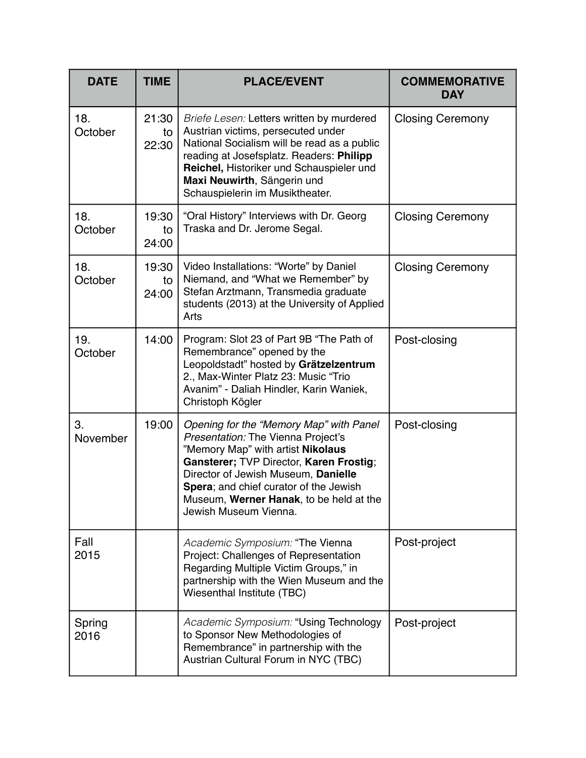| <b>DATE</b>    | <b>TIME</b>          | <b>PLACE/EVENT</b>                                                                                                                                                                                                                                                                                                 | <b>COMMEMORATIVE</b><br><b>DAY</b> |
|----------------|----------------------|--------------------------------------------------------------------------------------------------------------------------------------------------------------------------------------------------------------------------------------------------------------------------------------------------------------------|------------------------------------|
| 18.<br>October | 21:30<br>to<br>22:30 | Briefe Lesen: Letters written by murdered<br>Austrian victims, persecuted under<br>National Socialism will be read as a public<br>reading at Josefsplatz. Readers: Philipp<br>Reichel, Historiker und Schauspieler und<br>Maxi Neuwirth, Sängerin und<br>Schauspielerin im Musiktheater.                           | <b>Closing Ceremony</b>            |
| 18.<br>October | 19:30<br>to<br>24:00 | "Oral History" Interviews with Dr. Georg<br>Traska and Dr. Jerome Segal.                                                                                                                                                                                                                                           | <b>Closing Ceremony</b>            |
| 18.<br>October | 19:30<br>to<br>24:00 | Video Installations: "Worte" by Daniel<br>Niemand, and "What we Remember" by<br>Stefan Arztmann, Transmedia graduate<br>students (2013) at the University of Applied<br>Arts                                                                                                                                       | <b>Closing Ceremony</b>            |
| 19.<br>October | 14:00                | Program: Slot 23 of Part 9B "The Path of<br>Remembrance" opened by the<br>Leopoldstadt" hosted by Grätzelzentrum<br>2., Max-Winter Platz 23: Music "Trio<br>Avanim" - Daliah Hindler, Karin Waniek,<br>Christoph Kögler                                                                                            | Post-closing                       |
| 3.<br>November | 19:00                | Opening for the "Memory Map" with Panel<br>Presentation: The Vienna Project's<br>"Memory Map" with artist Nikolaus<br>Gansterer; TVP Director, Karen Frostig;<br>Director of Jewish Museum, Danielle<br>Spera; and chief curator of the Jewish<br>Museum, Werner Hanak, to be held at the<br>Jewish Museum Vienna. | Post-closing                       |
| Fall<br>2015   |                      | Academic Symposium: "The Vienna<br>Project: Challenges of Representation<br>Regarding Multiple Victim Groups," in<br>partnership with the Wien Museum and the<br>Wiesenthal Institute (TBC)                                                                                                                        | Post-project                       |
| Spring<br>2016 |                      | Academic Symposium: "Using Technology<br>to Sponsor New Methodologies of<br>Remembrance" in partnership with the<br>Austrian Cultural Forum in NYC (TBC)                                                                                                                                                           | Post-project                       |